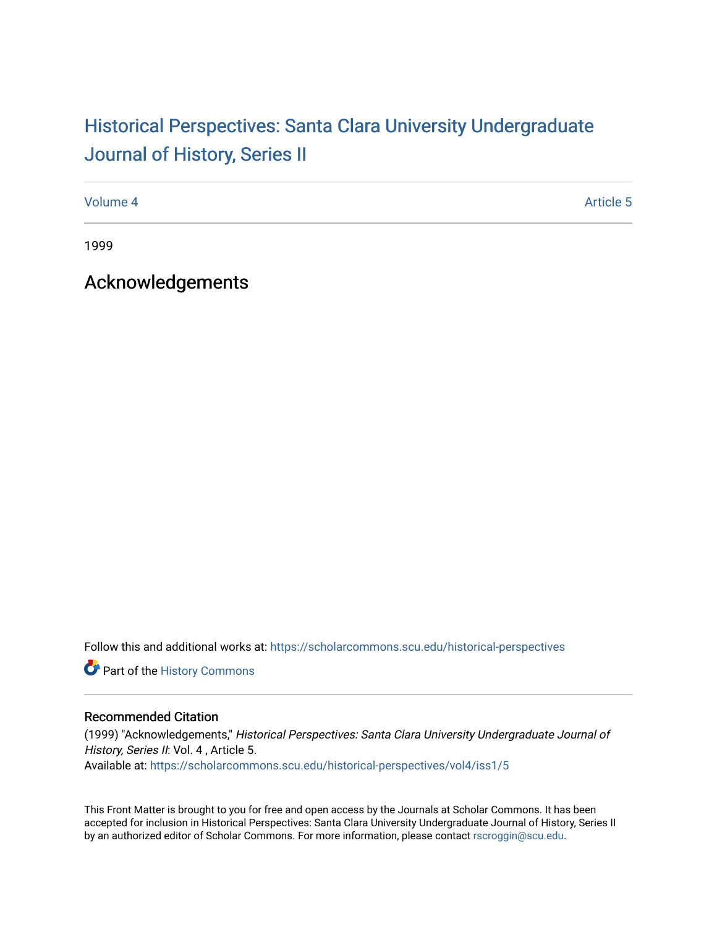## Historical Perspectiv[es: Santa Clara University Under](https://scholarcommons.scu.edu/historical-perspectives)graduate [Journal of History, Series II](https://scholarcommons.scu.edu/historical-perspectives)

[Volume 4](https://scholarcommons.scu.edu/historical-perspectives/vol4) Article 5

1999

Acknowledgements

Follow this and additional works at: [https://scholarcommons.scu.edu/historical-perspectives](https://scholarcommons.scu.edu/historical-perspectives?utm_source=scholarcommons.scu.edu%2Fhistorical-perspectives%2Fvol4%2Fiss1%2F5&utm_medium=PDF&utm_campaign=PDFCoverPages) 

Part of the [History Commons](http://network.bepress.com/hgg/discipline/489?utm_source=scholarcommons.scu.edu%2Fhistorical-perspectives%2Fvol4%2Fiss1%2F5&utm_medium=PDF&utm_campaign=PDFCoverPages) 

## Recommended Citation

(1999) "Acknowledgements," Historical Perspectives: Santa Clara University Undergraduate Journal of History, Series II: Vol. 4, Article 5. Available at: [https://scholarcommons.scu.edu/historical-perspectives/vol4/iss1/5](https://scholarcommons.scu.edu/historical-perspectives/vol4/iss1/5?utm_source=scholarcommons.scu.edu%2Fhistorical-perspectives%2Fvol4%2Fiss1%2F5&utm_medium=PDF&utm_campaign=PDFCoverPages) 

This Front Matter is brought to you for free and open access by the Journals at Scholar Commons. It has been accepted for inclusion in Historical Perspectives: Santa Clara University Undergraduate Journal of History, Series II by an authorized editor of Scholar Commons. For more information, please contact [rscroggin@scu.edu.](mailto:rscroggin@scu.edu)